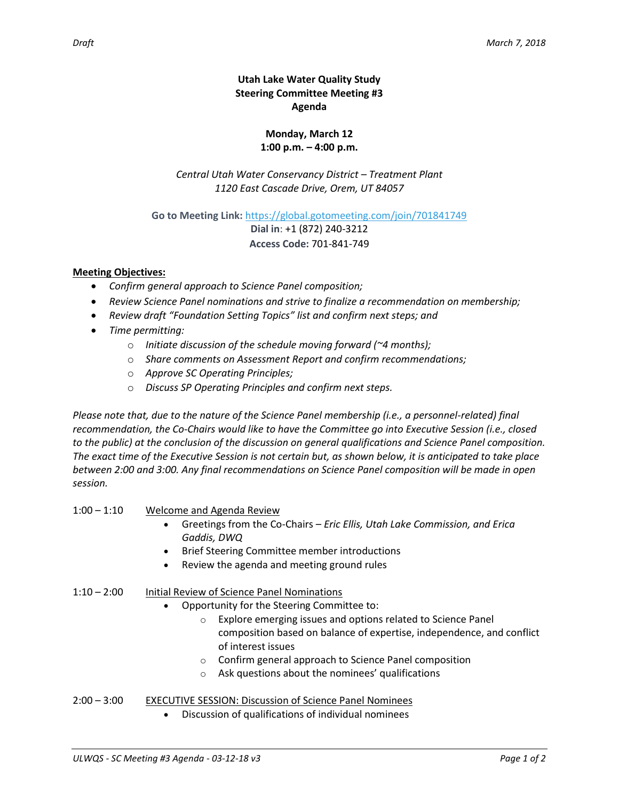## **Utah Lake Water Quality Study Steering Committee Meeting #3 Agenda**

## **Monday, March 12 1:00 p.m. – 4:00 p.m.**

*Central Utah Water Conservancy District – Treatment Plant 1120 East Cascade Drive, Orem, UT 84057*

**Go to Meeting Link:** <https://global.gotomeeting.com/join/701841749>

**Dial in**: +1 (872) 240-3212 **Access Code:** 701-841-749

## **Meeting Objectives:**

- *Confirm general approach to Science Panel composition;*
- *Review Science Panel nominations and strive to finalize a recommendation on membership;*
- *Review draft "Foundation Setting Topics" list and confirm next steps; and*
- *Time permitting:*
	- o *Initiate discussion of the schedule moving forward (~4 months);*
	- o *Share comments on Assessment Report and confirm recommendations;*
	- o *Approve SC Operating Principles;*
	- o *Discuss SP Operating Principles and confirm next steps.*

*Please note that, due to the nature of the Science Panel membership (i.e., a personnel-related) final recommendation, the Co-Chairs would like to have the Committee go into Executive Session (i.e., closed to the public) at the conclusion of the discussion on general qualifications and Science Panel composition. The exact time of the Executive Session is not certain but, as shown below, it is anticipated to take place between 2:00 and 3:00. Any final recommendations on Science Panel composition will be made in open session.*

- 1:00 1:10 Welcome and Agenda Review
	- Greetings from the Co-Chairs *Eric Ellis, Utah Lake Commission, and Erica Gaddis, DWQ*
	- **•** Brief Steering Committee member introductions
	- Review the agenda and meeting ground rules

## 1:10 – 2:00 Initial Review of Science Panel Nominations

- Opportunity for the Steering Committee to:
	- o Explore emerging issues and options related to Science Panel composition based on balance of expertise, independence, and conflict of interest issues
	- o Confirm general approach to Science Panel composition
	- o Ask questions about the nominees' qualifications
- 2:00 3:00 EXECUTIVE SESSION: Discussion of Science Panel Nominees
	- Discussion of qualifications of individual nominees